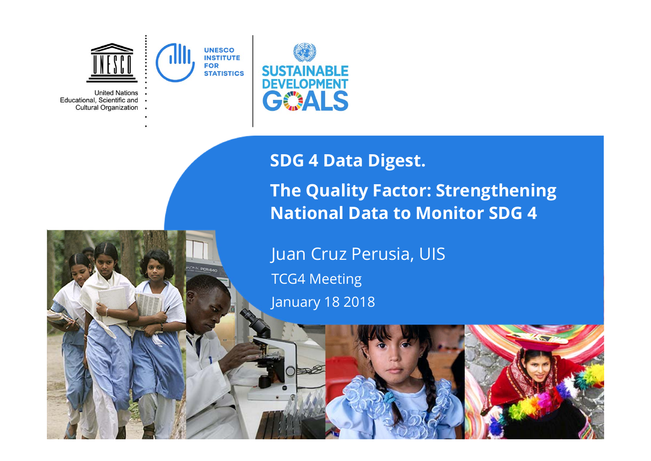

Educational, Scientific and **Cultural Organization** 



# **SDG 4 Data Digest. The Quality Factor: Strengthening National Data to Monitor SDG 4**

Juan Cruz Perusia, UIS TCG4 Meeting January 18 2018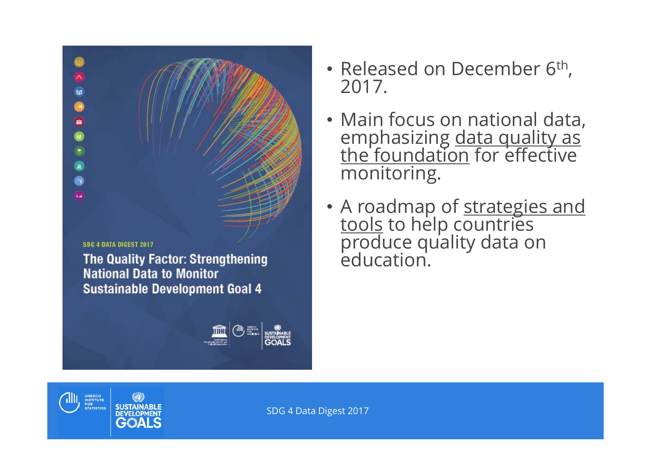**SDG 4 DATA DIGEST 2017** 

UNESCO<br>INSTITUTE<br>FOR<br>STATISTICS

**SUSTAINABLI**<br>DEVELOPMENT GOALS

7111.

ø

 $\left| \right\rangle$ 富

偏 A ka.

> **The Quality Factor: Strengthening National Data to Monitor Sustainable Development Goal 4**



- Released on December 6<sup>th</sup>, 2017.
- Main focus on national data, emphasizing <u>data quality as</u><br>the foundation for effective monitoring.
- A roadmap of <u>strategies and<br>tools</u> to help countries<br>produce quality data on<br>education.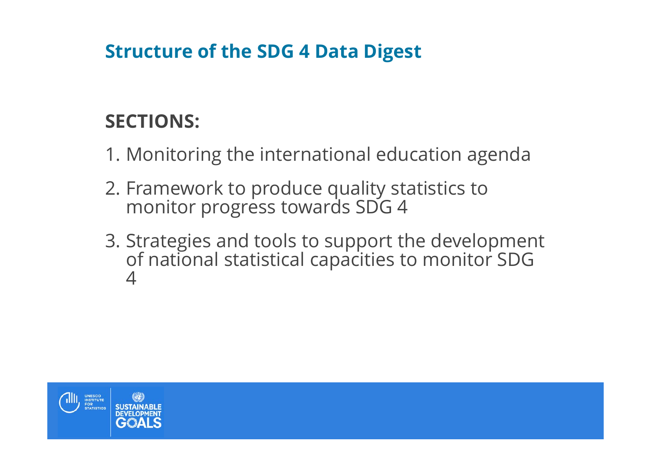### **Structure of the SDG 4 Data Digest**

## **SECTIONS:**

- 1. Monitoring the international education agenda
- 2. Framework to produce quality statistics to monitor progress towards SDG 4
- 3. Strategies and tools to support the development of national statistical capacities to monitor SDG 4

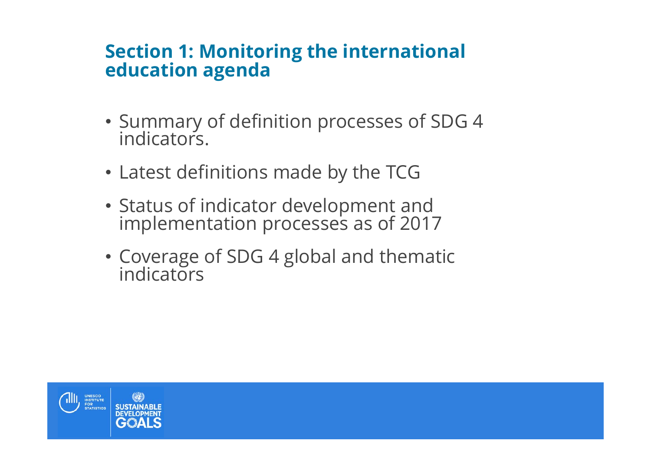### **Section 1: Monitoring the international education agenda**

- Summary of definition processes of SDG 4 indicators.
- Latest definitions made by the TCG
- Status of indicator development and implementation processes as of 2017
- Coverage of SDG 4 global and thematic indicators

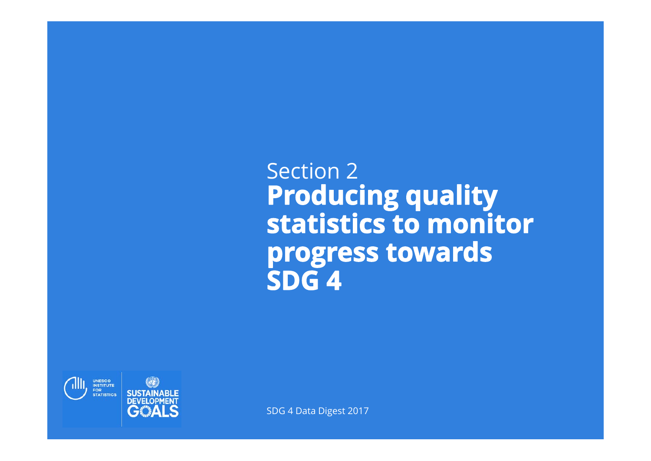Section 2 **Producing quality<br>statistics to monitor** progress towards SDG<sub>4</sub>

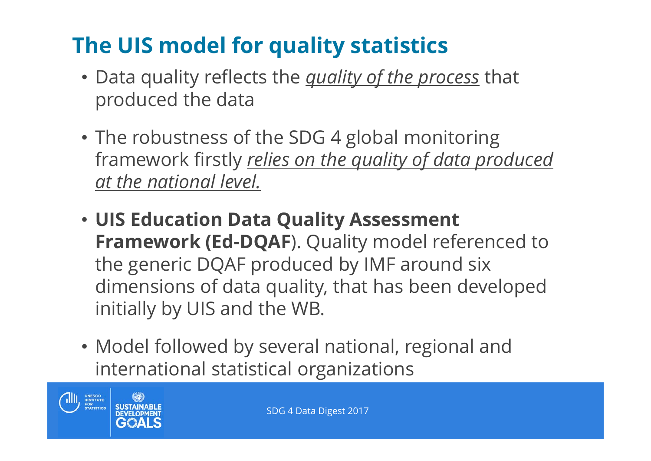# **The UIS model for quality statistics**

- Data quality reflects the *quality of the process* that produced the data
- The robustness of the SDG 4 global monitoring framework firstly *relies on the quality of data produced at the national level.*
- **UIS Education Data Quality Assessment Framework (Ed-DQAF**). Quality model referenced to the generic DQAF produced by IMF around six dimensions of data quality, that has been developed initially by UIS and the WB.
- Model followed by several national, regional and international statistical organizations

THE UNESCONSTITUTE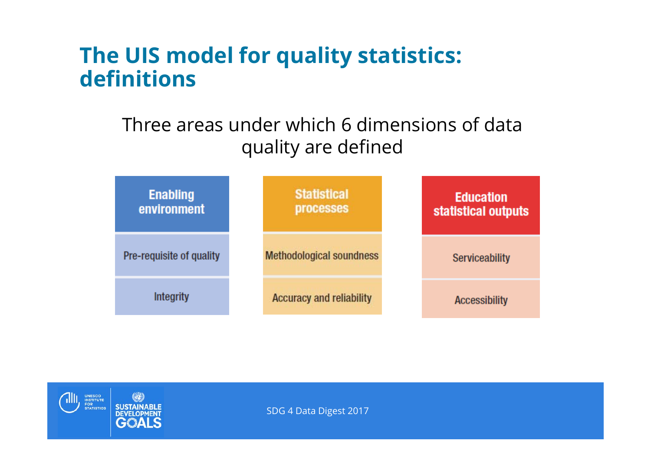## **The UIS model for quality statistics: definitions**

### Three areas under which 6 dimensions of data quality are defined



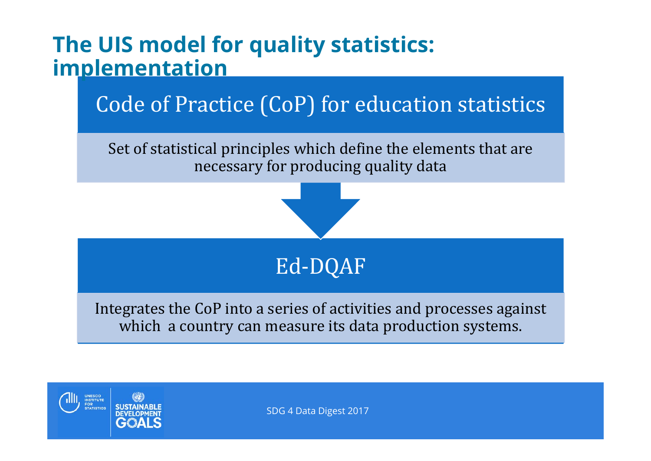

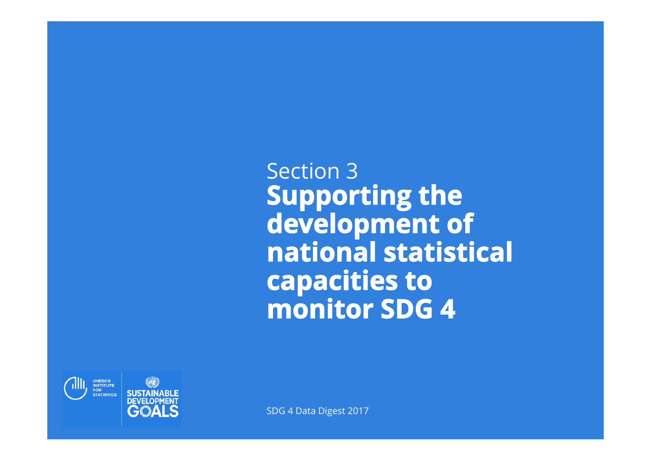Section 3Supporting the<br>development of national statistical capacities to **monitor SDG 4** 

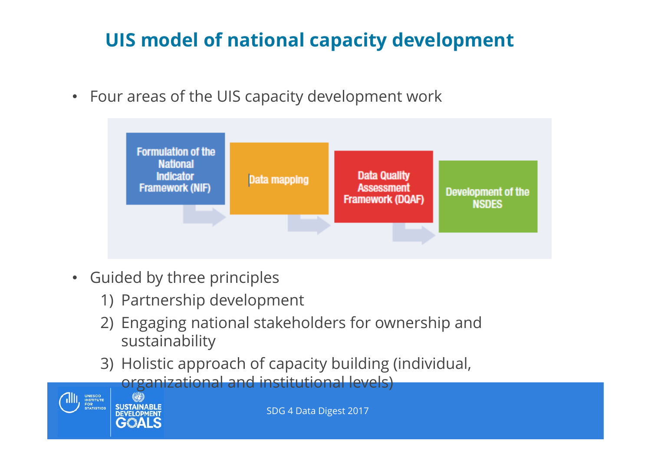# **UIS model of national capacity development**

• Four areas of the UIS capacity development work



- Guided by three principles
	- 1) Partnership development
	- 2) Engaging national stakeholders for ownership and sustainability
	- 3) Holistic approach of capacity building (individual, organizational and institutional levels)